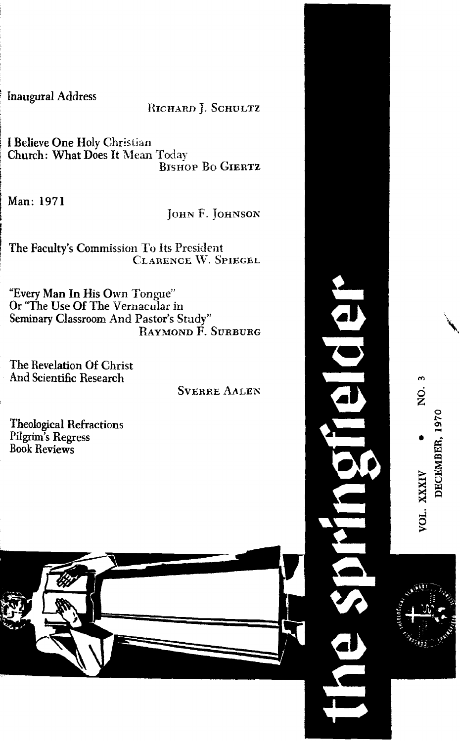**Inaugural Address** 

## RICHARD J. SCHULTZ

I Believe One Holy Christian Church: What Does It Mean Today **BISHOP BO GIERTZ** 

Man: 1971

### JOHN F. JOHNSON

The Faculty's Commission To Its President CLARENCE W. SPIEGEL

"Every Man In His Own Tongue" Or "The Use Of The Vernacular in Seminary Classroom And Pastor's Study"<br>RAYMOND F. SURBURG

The Revelation Of Christ And Scientific Research

**SVERRE AALEN** 

**Theological Refractions** Pilgrim's Regress **Book Reviews** 





DECEMBER, 1970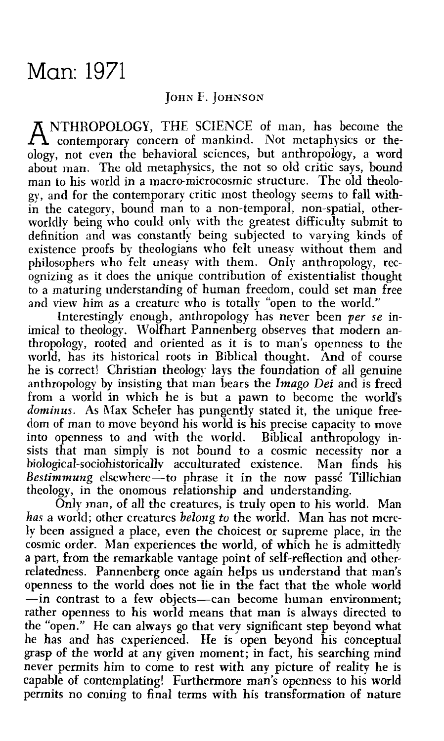# Man: 1971

### **JOHN F. JOHNSON**

A NTHROPOLOGY, THE SCIENCE of man, has become the contemporary concern of mankind. Not metaphysics or theology, not even the behavioral sciences, but anthropology, a word about man. The old metaphysics, the not so old critic says, bound man to his world in a macro-microcosmic structure. The old theologj., and for the contemporaq critic most theology seems to fall **with**in the category, bound man to a non-temporal, non-spatial, otherworldly being who could only with the greatest difficulty submit to definition and was constantly being subjected to varying kinds of existence proofs by theologians who felt uneasy without them and philosophers who felt uneasy with them. Only anthropology, recognizing as it does the unique contribution of existentialist thought to a maturing understanding of human freedom, could set man free and view him as a creature who is totally "open to the worid."

Interestingly enough, anthropology has never been *per se* inimical to theology. Wolfhart Pannenberg observes that modern anthropology, rooted and oriented as it is to man's openness to the world, has its historical roots in Biblical thought. And of course he is correct! Christian theology lays the foundation of all genuine anthropology by insisting that man bears the *Imago Dei* and is freed from a world in which he is but a pawn to become the world's *dominus.* As Max Scheler has pungently stated it, the unique freedom of man to move bevond his world is his precise capacity to move into openness to and with the world. Biblical anthropology insists that man simply is not bound to a cosmic necessity nor a biological-sociohistorically acculturated existence. Man finds his Bestimmung elsewhere-to phrase it in the now passé Tillichian theology, in the onomous relationship and understanding.

Only man, of all the creatures, is truly open to his world. Man has a world; other creatures *belong to* the world. Man has not merely been assigned a place, even the choicest or supreme place, in the cosmic order. Man experiences the world, of which he is admittedly a part, from the remarkable vantage point of self-reflection and otherrelatedness. Pannenberg once again helps us understand that man's openness to the world does not lie in the fact that the whole world -in contrast to a few objects-can become human environment; rather openness to his world means that man is always directed to the "open." **Hc** can always go that very significant step beyond what he has and has experienced. He is open beyond his conceptual grasp of the world at any given moment; in fact, his searching mind never permits him to come to rest with any picture of reality he is capable of contemplating! Furthermore man's openness to his world permits no coming to final terms with his transformation of nature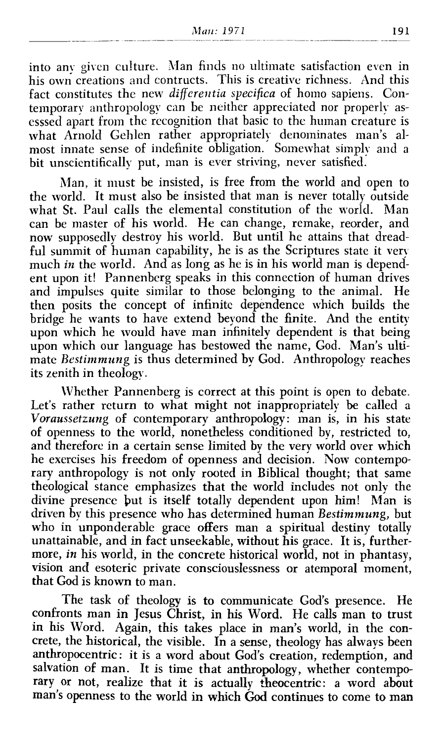into any given culture. Man finds no ultimate satisfaction even in his own creations and contructs. This is creative richness. And this fact constitutes the new *differentia specifica* of homo sapiens. Contemporary anthropology can be neither appreciated nor properly asesssed apart from the recognition that basic to the human creature is what Arnold Gehlen rather appropriately denominates man's almost innate sense of indefinite obligation. Somewhat simply and a bit unscientifically put, man is ever striving, never satisfied.

Man, it must be insisted, is free from the world and open to the world. It must also be insisted that man is never totally outside what St. Paul calls the elemental constitution of the world. Man can be master of his world. He can change, remake, reorder, and now supposedly destroy his world. But until he attains that dreadful summit of human capability, he is as the Scriptures state it very much in the world. And as long as he is in his world man is dependent upon it! Pannenbcrg speaks in this connection of human drives and impulses quite similar to those belonging to the animal. He then posits the concept of infinite dependence which builds the bridge he wants to have extend beyond the finite. And the entity upon which he would have man infinitely dependent is that being upon which our language has bestowed the name, God. Man's ultimate *Bestimmung* is thus determined by God. Anthropology reaches its zenith in theology.

Whether Pannenberg is correct at this point is open to debate. Let's rather return to what might not inappropriately be called a *Voraussetzung* of contemporary anthropology: man is, in his state of openness to the worId, nonetheless conditioned by, restricted to, and therefore in a certain sense limited by the very world over which he exercises his freedom of openness and decision. Now contemporary anthropology is not only rooted in Biblical thought; that same theological stance emphasizes that the world incIudes not only the divine presence but is itself totally dependent upon him! Man is driven by this presence who has determined human *Bestimmung,* but who in unponderable grace offers man a spiritual destiny totally unattainable, and in fact unseekable, without his grace. It is, furthermore, *in* his world, in the concrete historical world, not in phantasy, vision and esoteric private consciouslessness or atemporal moment, that God is known to man.

The task of theology is **to** communicate God's presence. He confronts man in Jesus Christ, in his Word. He calls man to trust in his Word. Again, this takes place in man's world, in the concrete, the historical, the visible. In a sense, theology has always been anthropocentric : it is a word about God's creation, redemption, and salvation of man. It is time that anthropology, whether contemporary or not, realize that it is actually theocentric: a word about man's openness to the world in which **God** continues to come to **man**